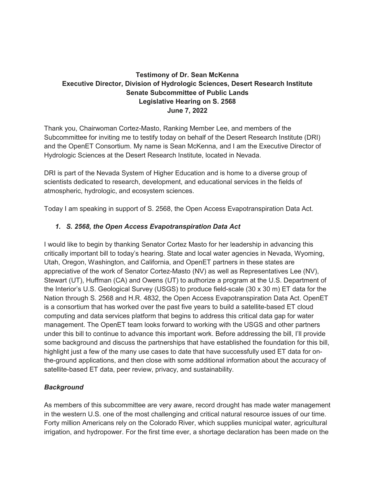# **Testimony of Dr. Sean McKenna Executive Director, Division of Hydrologic Sciences, Desert Research Institute Senate Subcommittee of Public Lands Legislative Hearing on S. 2568 June 7, 2022**

Thank you, Chairwoman Cortez-Masto, Ranking Member Lee, and members of the Subcommittee for inviting me to testify today on behalf of the Desert Research Institute (DRI) and the OpenET Consortium. My name is Sean McKenna, and I am the Executive Director of Hydrologic Sciences at the Desert Research Institute, located in Nevada.

DRI is part of the Nevada System of Higher Education and is home to a diverse group of scientists dedicated to research, development, and educational services in the fields of atmospheric, hydrologic, and ecosystem sciences.

Today I am speaking in support of S. 2568, the Open Access Evapotranspiration Data Act.

## *1. S. 2568, the Open Access Evapotranspiration Data Act*

I would like to begin by thanking Senator Cortez Masto for her leadership in advancing this critically important bill to today's hearing. State and local water agencies in Nevada, Wyoming, Utah, Oregon, Washington, and California, and OpenET partners in these states are appreciative of the work of Senator Cortez-Masto (NV) as well as Representatives Lee (NV), Stewart (UT), Huffman (CA) and Owens (UT) to authorize a program at the U.S. Department of the Interior's U.S. Geological Survey (USGS) to produce field-scale (30 x 30 m) ET data for the Nation through S. 2568 and H.R. 4832, the Open Access Evapotranspiration Data Act. OpenET is a consortium that has worked over the past five years to build a satellite-based ET cloud computing and data services platform that begins to address this critical data gap for water management. The OpenET team looks forward to working with the USGS and other partners under this bill to continue to advance this important work. Before addressing the bill, I'll provide some background and discuss the partnerships that have established the foundation for this bill, highlight just a few of the many use cases to date that have successfully used ET data for onthe-ground applications, and then close with some additional information about the accuracy of satellite-based ET data, peer review, privacy, and sustainability.

## *Background*

As members of this subcommittee are very aware, record drought has made water management in the western U.S. one of the most challenging and critical natural resource issues of our time. Forty million Americans rely on the Colorado River, which supplies municipal water, agricultural irrigation, and hydropower. For the first time ever, a shortage declaration has been made on the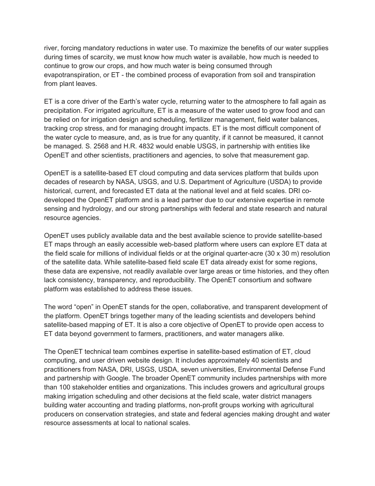river, forcing mandatory reductions in water use. To maximize the benefits of our water supplies during times of scarcity, we must know how much water is available, how much is needed to continue to grow our crops, and how much water is being consumed through evapotranspiration, or ET - the combined process of evaporation from soil and transpiration from plant leaves.

ET is a core driver of the Earth's water cycle, returning water to the atmosphere to fall again as precipitation. For irrigated agriculture, ET is a measure of the water used to grow food and can be relied on for irrigation design and scheduling, fertilizer management, field water balances, tracking crop stress, and for managing drought impacts. ET is the most difficult component of the water cycle to measure, and, as is true for any quantity, if it cannot be measured, it cannot be managed. S. 2568 and H.R. 4832 would enable USGS, in partnership with entities like OpenET and other scientists, practitioners and agencies, to solve that measurement gap.

OpenET is a satellite-based ET cloud computing and data services platform that builds upon decades of research by NASA, USGS, and U.S. Department of Agriculture (USDA) to provide historical, current, and forecasted ET data at the national level and at field scales. DRI codeveloped the OpenET platform and is a lead partner due to our extensive expertise in remote sensing and hydrology, and our strong partnerships with federal and state research and natural resource agencies.

OpenET uses publicly available data and the best available science to provide satellite-based ET maps through an easily accessible web-based platform where users can explore ET data at the field scale for millions of individual fields or at the original quarter-acre (30 x 30 m) resolution of the satellite data. While satellite-based field scale ET data already exist for some regions, these data are expensive, not readily available over large areas or time histories, and they often lack consistency, transparency, and reproducibility. The OpenET consortium and software platform was established to address these issues.

The word "open" in OpenET stands for the open, collaborative, and transparent development of the platform. OpenET brings together many of the leading scientists and developers behind satellite-based mapping of ET. It is also a core objective of OpenET to provide open access to ET data beyond government to farmers, practitioners, and water managers alike.

The OpenET technical team combines expertise in satellite-based estimation of ET, cloud computing, and user driven website design. It includes approximately 40 scientists and practitioners from NASA, DRI, USGS, USDA, seven universities, Environmental Defense Fund and partnership with Google. The broader OpenET community includes partnerships with more than 100 stakeholder entities and organizations. This includes growers and agricultural groups making irrigation scheduling and other decisions at the field scale, water district managers building water accounting and trading platforms, non-profit groups working with agricultural producers on conservation strategies, and state and federal agencies making drought and water resource assessments at local to national scales.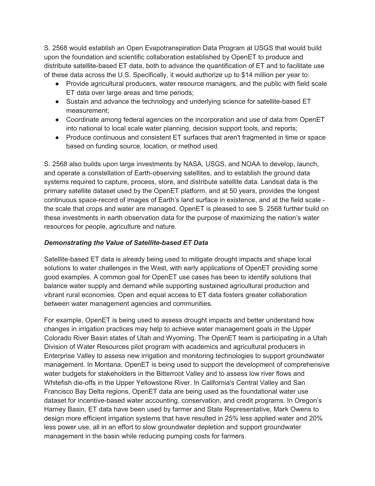S. 2568 would establish an Open Evapotranspiration Data Program at USGS that would build upon the foundation and scientific collaboration established by OpenET to produce and distribute satellite-based ET data, both to advance the quantification of ET and to facilitate use of these data across the U.S. Specifically, it would authorize up to \$14 million per year to:

- Provide agricultural producers, water resource managers, and the public with field scale ET data over large areas and time periods;
- Sustain and advance the technology and underlying science for satellite-based ET measurement;
- Coordinate among federal agencies on the incorporation and use of data from OpenET into national to local scale water planning, decision support tools, and reports;
- Produce continuous and consistent ET surfaces that aren't fragmented in time or space based on funding source, location, or method used.

S. 2568 also builds upon large investments by NASA, USGS, and NOAA to develop, launch, and operate a constellation of Earth-observing satellites, and to establish the ground data systems required to capture, process, store, and distribute satellite data. Landsat data is the primary satellite dataset used by the OpenET platform, and at 50 years, provides the longest continuous space-record of images of Earth's land surface in existence, and at the field scale the scale that crops and water are managed. OpenET is pleased to see S. 2568 further build on these investments in earth observation data for the purpose of maximizing the nation's water resources for people, agriculture and nature.

## *Demonstrating the Value of Satellite-based ET Data*

Satellite-based ET data is already being used to mitigate drought impacts and shape local solutions to water challenges in the West, with early applications of OpenET providing some good examples. A common goal for OpenET use cases has been to identify solutions that balance water supply and demand while supporting sustained agricultural production and vibrant rural economies. Open and equal access to ET data fosters greater collaboration between water management agencies and communities.

For example, OpenET is being used to assess drought impacts and better understand how changes in irrigation practices may help to achieve water management goals in the Upper Colorado River Basin states of Utah and Wyoming. The OpenET team is participating in a Utah Division of Water Resources pilot program with academics and agricultural producers in Enterprise Valley to assess new irrigation and monitoring technologies to support groundwater management. In Montana, OpenET is being used to support the development of comprehensive water budgets for stakeholders in the Bitterroot Valley and to assess low river flows and Whitefish die-offs in the Upper Yellowstone River. In California's Central Valley and San Francisco Bay Delta regions, OpenET data are being used as the foundational water use dataset for incentive-based water accounting, conservation, and credit programs. In Oregon's Harney Basin, ET data have been used by farmer and State Representative, Mark Owens to design more efficient irrigation systems that have resulted in 25% less applied water and 20% less power use, all in an effort to slow groundwater depletion and support groundwater management in the basin while reducing pumping costs for farmers.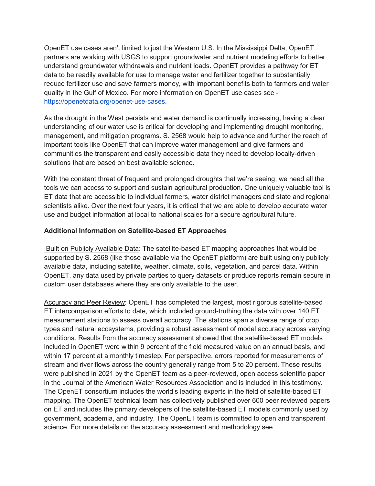OpenET use cases aren't limited to just the Western U.S. In the Mississippi Delta, OpenET partners are working with USGS to support groundwater and nutrient modeling efforts to better understand groundwater withdrawals and nutrient loads. OpenET provides a pathway for ET data to be readily available for use to manage water and fertilizer together to substantially reduce fertilizer use and save farmers money, with important benefits both to farmers and water quality in the Gulf of Mexico. For more information on OpenET use cases see [https://openetdata.org/openet-use-cases.](https://openetdata.org/openet-use-cases/)

As the drought in the West persists and water demand is continually increasing, having a clear understanding of our water use is critical for developing and implementing drought monitoring, management, and mitigation programs. S. 2568 would help to advance and further the reach of important tools like OpenET that can improve water management and give farmers and communities the transparent and easily accessible data they need to develop locally-driven solutions that are based on best available science.

With the constant threat of frequent and prolonged droughts that we're seeing, we need all the tools we can access to support and sustain agricultural production. One uniquely valuable tool is ET data that are accessible to individual farmers, water district managers and state and regional scientists alike. Over the next four years, it is critical that we are able to develop accurate water use and budget information at local to national scales for a secure agricultural future.

### **Additional Information on Satellite-based ET Approaches**

Built on Publicly Available Data: The satellite-based ET mapping approaches that would be supported by S. 2568 (like those available via the OpenET platform) are built using only publicly available data, including satellite, weather, climate, soils, vegetation, and parcel data. Within OpenET, any data used by private parties to query datasets or produce reports remain secure in custom user databases where they are only available to the user.

Accuracy and Peer Review: OpenET has completed the largest, most rigorous satellite-based ET intercomparison efforts to date, which included ground-truthing the data with over 140 ET measurement stations to assess overall accuracy. The stations span a diverse range of crop types and natural ecosystems, providing a robust assessment of model accuracy across varying conditions. Results from the accuracy assessment showed that the satellite-based ET models included in OpenET were within 9 percent of the field measured value on an annual basis, and within 17 percent at a monthly timestep. For perspective, errors reported for measurements of stream and river flows across the country generally range from 5 to 20 percent. These results were published in 2021 by the OpenET team as a peer-reviewed, open access scientific paper in the Journal of the American Water Resources Association and is included in this testimony. The OpenET consortium includes the world's leading experts in the field of satellite-based ET mapping. The OpenET technical team has collectively published over 600 peer reviewed papers on ET and includes the primary developers of the satellite-based ET models commonly used by government, academia, and industry. The OpenET team is committed to open and transparent science. For more details on the accuracy assessment and methodology see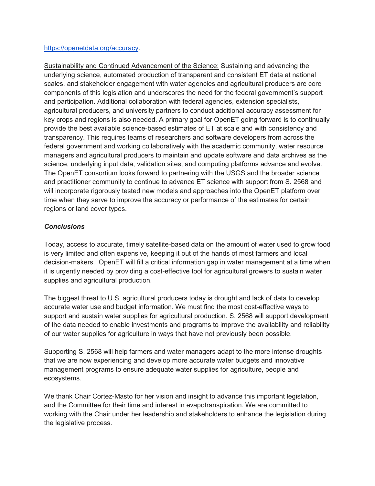#### [https://openetdata.org/accuracy.](https://openetdata.org/accuracy)

Sustainability and Continued Advancement of the Science: Sustaining and advancing the underlying science, automated production of transparent and consistent ET data at national scales, and stakeholder engagement with water agencies and agricultural producers are core components of this legislation and underscores the need for the federal government's support and participation. Additional collaboration with federal agencies, extension specialists, agricultural producers, and university partners to conduct additional accuracy assessment for key crops and regions is also needed. A primary goal for OpenET going forward is to continually provide the best available science-based estimates of ET at scale and with consistency and transparency. This requires teams of researchers and software developers from across the federal government and working collaboratively with the academic community, water resource managers and agricultural producers to maintain and update software and data archives as the science, underlying input data, validation sites, and computing platforms advance and evolve. The OpenET consortium looks forward to partnering with the USGS and the broader science and practitioner community to continue to advance ET science with support from S. 2568 and will incorporate rigorously tested new models and approaches into the OpenET platform over time when they serve to improve the accuracy or performance of the estimates for certain regions or land cover types.

### *Conclusions*

Today, access to accurate, timely satellite-based data on the amount of water used to grow food is very limited and often expensive, keeping it out of the hands of most farmers and local decision-makers. OpenET will fill a critical information gap in water management at a time when it is urgently needed by providing a cost-effective tool for agricultural growers to sustain water supplies and agricultural production.

The biggest threat to U.S. agricultural producers today is drought and lack of data to develop accurate water use and budget information. We must find the most cost-effective ways to support and sustain water supplies for agricultural production. S. 2568 will support development of the data needed to enable investments and programs to improve the availability and reliability of our water supplies for agriculture in ways that have not previously been possible.

Supporting S. 2568 will help farmers and water managers adapt to the more intense droughts that we are now experiencing and develop more accurate water budgets and innovative management programs to ensure adequate water supplies for agriculture, people and ecosystems.

We thank Chair Cortez-Masto for her vision and insight to advance this important legislation, and the Committee for their time and interest in evapotranspiration. We are committed to working with the Chair under her leadership and stakeholders to enhance the legislation during the legislative process.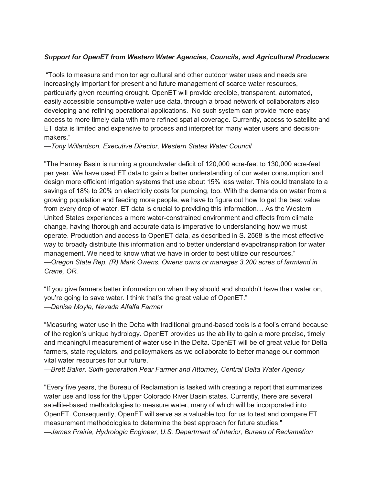## *Support for OpenET from Western Water Agencies, Councils, and Agricultural Producers*

"Tools to measure and monitor agricultural and other outdoor water uses and needs are increasingly important for present and future management of scarce water resources, particularly given recurring drought. OpenET will provide credible, transparent, automated, easily accessible consumptive water use data, through a broad network of collaborators also developing and refining operational applications. No such system can provide more easy access to more timely data with more refined spatial coverage. Currently, access to satellite and ET data is limited and expensive to process and interpret for many water users and decisionmakers."

*—Tony Willardson, Executive Director, Western States Water Council*

"The Harney Basin is running a groundwater deficit of 120,000 acre-feet to 130,000 acre-feet per year. We have used ET data to gain a better understanding of our water consumption and design more efficient irrigation systems that use about 15% less water. This could translate to a savings of 18% to 20% on electricity costs for pumping, too. With the demands on water from a growing population and feeding more people, we have to figure out how to get the best value from every drop of water. ET data is crucial to providing this information… As the Western United States experiences a more water-constrained environment and effects from climate change, having thorough and accurate data is imperative to understanding how we must operate. Production and access to OpenET data, as described in S. 2568 is the most effective way to broadly distribute this information and to better understand evapotranspiration for water management. We need to know what we have in order to best utilize our resources." *—Oregon State Rep. (R) Mark Owens. Owens owns or manages 3,200 acres of farmland in Crane, OR.*

"If you give farmers better information on when they should and shouldn't have their water on, you're going to save water. I think that's the great value of OpenET." —*Denise Moyle, Nevada Alfalfa Farmer*

"Measuring water use in the Delta with traditional ground-based tools is a fool's errand because of the region's unique hydrology. OpenET provides us the ability to gain a more precise, timely and meaningful measurement of water use in the Delta. OpenET will be of great value for Delta farmers, state regulators, and policymakers as we collaborate to better manage our common vital water resources for our future."

—*Brett Baker, Sixth-generation Pear Farmer and Attorney, Central Delta Water Agency*

"Every five years, the Bureau of Reclamation is tasked with creating a report that summarizes water use and loss for the Upper Colorado River Basin states. Currently, there are several satellite-based methodologies to measure water, many of which will be incorporated into OpenET. Consequently, OpenET will serve as a valuable tool for us to test and compare ET measurement methodologies to determine the best approach for future studies." *—James Prairie, Hydrologic Engineer, U.S. Department of Interior, Bureau of Reclamation*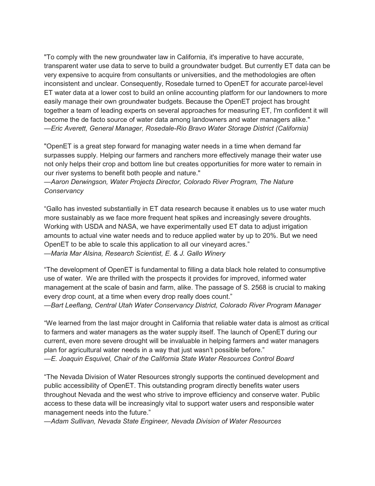"To comply with the new groundwater law in California, it's imperative to have accurate, transparent water use data to serve to build a groundwater budget. But currently ET data can be very expensive to acquire from consultants or universities, and the methodologies are often inconsistent and unclear. Consequently, Rosedale turned to OpenET for accurate parcel-level ET water data at a lower cost to build an online accounting platform for our landowners to more easily manage their own groundwater budgets. Because the OpenET project has brought together a team of leading experts on several approaches for measuring ET, I'm confident it will become the de facto source of water data among landowners and water managers alike." *—Eric Averett, General Manager, Rosedale-Rio Bravo Water Storage District (California)*

"OpenET is a great step forward for managing water needs in a time when demand far surpasses supply. Helping our farmers and ranchers more effectively manage their water use not only helps their crop and bottom line but creates opportunities for more water to remain in our river systems to benefit both people and nature."

*—Aaron Derwingson, Water Projects Director, Colorado River Program, The Nature Conservancy*

"Gallo has invested substantially in ET data research because it enables us to use water much more sustainably as we face more frequent heat spikes and increasingly severe droughts. Working with USDA and NASA, we have experimentally used ET data to adjust irrigation amounts to actual vine water needs and to reduce applied water by up to 20%. But we need OpenET to be able to scale this application to all our vineyard acres." —*Maria Mar Alsina, Research Scientist, E. & J. Gallo Winery*

"The development of OpenET is fundamental to filling a data black hole related to consumptive use of water. We are thrilled with the prospects it provides for improved, informed water management at the scale of basin and farm, alike. The passage of S. 2568 is crucial to making every drop count, at a time when every drop really does count."

*—Bart Leeflang, Central Utah Water Conservancy District, Colorado River Program Manager*

"We learned from the last major drought in California that reliable water data is almost as critical to farmers and water managers as the water supply itself. The launch of OpenET during our current, even more severe drought will be invaluable in helping farmers and water managers plan for agricultural water needs in a way that just wasn't possible before." *—E. Joaquin Esquivel, Chair of the California State Water Resources Control Board*

"The Nevada Division of Water Resources strongly supports the continued development and public accessibility of OpenET. This outstanding program directly benefits water users throughout Nevada and the west who strive to improve efficiency and conserve water. Public access to these data will be increasingly vital to support water users and responsible water management needs into the future."

*—Adam Sullivan, Nevada State Engineer, Nevada Division of Water Resources*